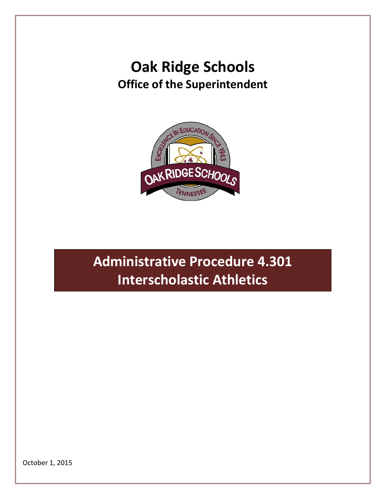## **Oak Ridge Schools Office of the Superintendent**



# **Administrative Procedure 4.301 Interscholastic Athletics**

October 1, 2015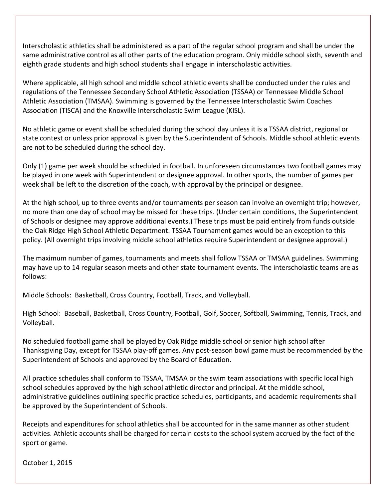Interscholastic athletics shall be administered as a part of the regular school program and shall be under the same administrative control as all other parts of the education program. Only middle school sixth, seventh and eighth grade students and high school students shall engage in interscholastic activities.

Where applicable, all high school and middle school athletic events shall be conducted under the rules and regulations of the Tennessee Secondary School Athletic Association (TSSAA) or Tennessee Middle School Athletic Association (TMSAA). Swimming is governed by the Tennessee Interscholastic Swim Coaches Association (TISCA) and the Knoxville Interscholastic Swim League (KISL).

No athletic game or event shall be scheduled during the school day unless it is a TSSAA district, regional or state contest or unless prior approval is given by the Superintendent of Schools. Middle school athletic events are not to be scheduled during the school day.

Only (1) game per week should be scheduled in football. In unforeseen circumstances two football games may be played in one week with Superintendent or designee approval. In other sports, the number of games per week shall be left to the discretion of the coach, with approval by the principal or designee.

At the high school, up to three events and/or tournaments per season can involve an overnight trip; however, no more than one day of school may be missed for these trips. (Under certain conditions, the Superintendent of Schools or designee may approve additional events.) These trips must be paid entirely from funds outside the Oak Ridge High School Athletic Department. TSSAA Tournament games would be an exception to this policy. (All overnight trips involving middle school athletics require Superintendent or designee approval.)

The maximum number of games, tournaments and meets shall follow TSSAA or TMSAA guidelines. Swimming may have up to 14 regular season meets and other state tournament events. The interscholastic teams are as follows:

Middle Schools: Basketball, Cross Country, Football, Track, and Volleyball.

High School: Baseball, Basketball, Cross Country, Football, Golf, Soccer, Softball, Swimming, Tennis, Track, and Volleyball.

No scheduled football game shall be played by Oak Ridge middle school or senior high school after Thanksgiving Day, except for TSSAA play-off games. Any post-season bowl game must be recommended by the Superintendent of Schools and approved by the Board of Education.

All practice schedules shall conform to TSSAA, TMSAA or the swim team associations with specific local high school schedules approved by the high school athletic director and principal. At the middle school, administrative guidelines outlining specific practice schedules, participants, and academic requirements shall be approved by the Superintendent of Schools.

Receipts and expenditures for school athletics shall be accounted for in the same manner as other student activities. Athletic accounts shall be charged for certain costs to the school system accrued by the fact of the sport or game.

October 1, 2015